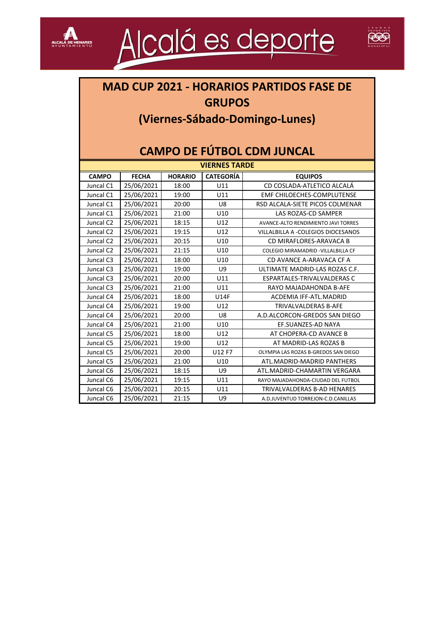



## **MAD CUP 2021 - HORARIOS PARTIDOS FASE DE GRUPOS**

#### **(Viernes-Sábado-Domingo-Lunes)**

| <b>VIERNES TARDE</b>  |              |                |                  |                                      |  |
|-----------------------|--------------|----------------|------------------|--------------------------------------|--|
| <b>CAMPO</b>          | <b>FECHA</b> | <b>HORARIO</b> | <b>CATEGORÍA</b> | <b>EQUIPOS</b>                       |  |
| Juncal C1             | 25/06/2021   | 18:00          | U11              | CD COSLADA-ATLETICO ALCALÁ           |  |
| Juncal C1             | 25/06/2021   | 19:00          | U11              | EMF CHILOECHES-COMPLUTENSE           |  |
| Juncal C1             | 25/06/2021   | 20:00          | U8               | RSD ALCALA-SIETE PICOS COLMENAR      |  |
| Juncal C1             | 25/06/2021   | 21:00          | U10              | LAS ROZAS-CD SAMPER                  |  |
| Juncal C <sub>2</sub> | 25/06/2021   | 18:15          | U12              | AVANCE-ALTO RENDIMIENTO JAVI TORRES  |  |
| Juncal C <sub>2</sub> | 25/06/2021   | 19:15          | U12              | VILLALBILLA A -COLEGIOS DIOCESANOS   |  |
| Juncal C <sub>2</sub> | 25/06/2021   | 20:15          | U10              | CD MIRAFLORES-ARAVACA B              |  |
| Juncal C <sub>2</sub> | 25/06/2021   | 21:15          | U10              | COLEGIO MIRAMADRID - VILLALBILLA CF  |  |
| Juncal C3             | 25/06/2021   | 18:00          | U10              | CD AVANCE A-ARAVACA CF A             |  |
| Juncal C3             | 25/06/2021   | 19:00          | U9               | ULTIMATE MADRID-LAS ROZAS C.F.       |  |
| Juncal C3             | 25/06/2021   | 20:00          | U11              | <b>ESPARTALES-TRIVALVALDERAS C</b>   |  |
| Juncal C3             | 25/06/2021   | 21:00          | U11              | RAYO MAJADAHONDA B-AFE               |  |
| Juncal C4             | 25/06/2021   | 18:00          | <b>U14F</b>      | ACDEMIA IFF-ATL.MADRID               |  |
| Juncal C4             | 25/06/2021   | 19:00          | U12              | <b>TRIVALVALDERAS B-AFE</b>          |  |
| Juncal C4             | 25/06/2021   | 20:00          | U8               | A.D.ALCORCON-GREDOS SAN DIEGO        |  |
| Juncal C4             | 25/06/2021   | 21:00          | U10              | EF.SUANZES-AD NAYA                   |  |
| Juncal C5             | 25/06/2021   | 18:00          | U12              | AT CHOPERA-CD AVANCE B               |  |
| Juncal C5             | 25/06/2021   | 19:00          | U12              | AT MADRID-LAS ROZAS B                |  |
| Juncal C5             | 25/06/2021   | 20:00          | U12 F7           | OLYMPIA LAS ROZAS B-GREDOS SAN DIEGO |  |
| Juncal C5             | 25/06/2021   | 21:00          | U10              | ATL.MADRID-MADRID PANTHERS           |  |
| Juncal C6             | 25/06/2021   | 18:15          | <b>U9</b>        | ATL.MADRID-CHAMARTIN VERGARA         |  |
| Juncal C6             | 25/06/2021   | 19:15          | U11              | RAYO MAJADAHONDA-CIUDAD DEL FUTBOL   |  |
| Juncal C6             | 25/06/2021   | 20:15          | U11              | TRIVALVALDERAS B-AD HENARES          |  |
| Juncal C6             | 25/06/2021   | 21:15          | U9               | A.D.JUVENTUD TORREJON-C.D.CANILLAS   |  |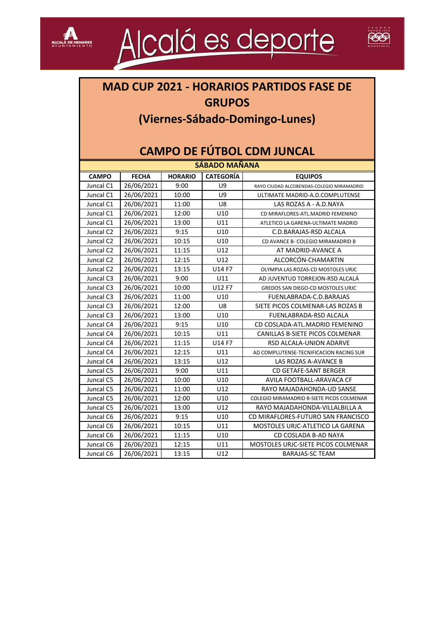



## **MAD CUP 2021 - HORARIOS PARTIDOS FASE DE GRUPOS**

#### **(Viernes-Sábado-Domingo-Lunes)**

| <b>SÁBADO MAÑANA</b>  |              |                |                  |                                           |
|-----------------------|--------------|----------------|------------------|-------------------------------------------|
| <b>CAMPO</b>          | <b>FECHA</b> | <b>HORARIO</b> | <b>CATEGORÍA</b> | <b>EQUIPOS</b>                            |
| Juncal C1             | 26/06/2021   | 9:00           | U9               | RAYO CIUDAD ALCOBENDAS-COLEGIO MIRAMADRID |
| Juncal C1             | 26/06/2021   | 10:00          | U9               | ULTIMATE MADRID-A.D.COMPLUTENSE           |
| Juncal C1             | 26/06/2021   | 11:00          | U8               | LAS ROZAS A - A.D.NAYA                    |
| Juncal C1             | 26/06/2021   | 12:00          | U10              | CD MIRAFLORES-ATL.MADRID FEMENINO         |
| Juncal C1             | 26/06/2021   | 13:00          | U11              | ATLETICO LA GARENA-ULTIMATE MADRID        |
| Juncal C <sub>2</sub> | 26/06/2021   | 9:15           | U10              | C.D.BARAJAS-RSD ALCALA                    |
| Juncal C <sub>2</sub> | 26/06/2021   | 10:15          | U10              | CD AVANCE B- COLEGIO MIRAMADRID B         |
| Juncal C <sub>2</sub> | 26/06/2021   | 11:15          | U12              | AT MADRID-AVANCE A                        |
| Juncal C <sub>2</sub> | 26/06/2021   | 12:15          | U12              | ALCORCÓN-CHAMARTIN                        |
| Juncal C <sub>2</sub> | 26/06/2021   | 13:15          | U14 F7           | OLYMPIA LAS ROZAS-CD MOSTOLES URJC        |
| Juncal C3             | 26/06/2021   | 9:00           | U11              | AD JUVENTUD TORREJON-RSD ALCALÁ           |
| Juncal C3             | 26/06/2021   | 10:00          | U12 F7           | GREDOS SAN DIEGO-CD MOSTOLES URJC         |
| Juncal C3             | 26/06/2021   | 11:00          | U10              | FUENLABRADA-C.D.BARAJAS                   |
| Juncal C3             | 26/06/2021   | 12:00          | U8               | SIETE PICOS COLMENAR-LAS ROZAS B          |
| Juncal C3             | 26/06/2021   | 13:00          | U10              | <b>FUENLABRADA-RSD ALCALA</b>             |
| Juncal C4             | 26/06/2021   | 9:15           | U10              | CD COSLADA-ATL.MADRID FEMENINO            |
| Juncal C4             | 26/06/2021   | 10:15          | U11              | CANILLAS B-SIETE PICOS COLMENAR           |
| Juncal C4             | 26/06/2021   | 11:15          | U14 F7           | RSD ALCALA-UNION ADARVE                   |
| Juncal C4             | 26/06/2021   | 12:15          | U11              | AD COMPLUTENSE-TECNIFICACION RACING SUR   |
| Juncal C4             | 26/06/2021   | 13:15          | U12              | LAS ROZAS A-AVANCE B                      |
| Juncal C5             | 26/06/2021   | 9:00           | U11              | <b>CD GETAFE-SANT BERGER</b>              |
| Juncal C5             | 26/06/2021   | 10:00          | U10              | AVILA FOOTBALL-ARAVACA CF                 |
| Juncal C5             | 26/06/2021   | 11:00          | U12              | RAYO MAJADAHONDA-UD SANSE                 |
| Juncal C5             | 26/06/2021   | 12:00          | U10              | COLEGIO MIRAMADRID B-SIETE PICOS COLMENAR |
| Juncal C5             | 26/06/2021   | 13:00          | U12              | RAYO MAJADAHONDA-VILLALBILLA A            |
| Juncal C6             | 26/06/2021   | 9:15           | U10              | CD MIRAFLORES-FUTURO SAN FRANCISCO        |
| Juncal C6             | 26/06/2021   | 10:15          | U11              | MOSTOLES URIC-ATLETICO LA GARENA          |
| Juncal C6             | 26/06/2021   | 11:15          | U10              | CD COSLADA B-AD NAYA                      |
| Juncal C6             | 26/06/2021   | 12:15          | U11              | MOSTOLES URIC-SIETE PICOS COLMENAR        |
| Juncal C6             | 26/06/2021   | 13:15          | U12              | <b>BARAJAS-SC TEAM</b>                    |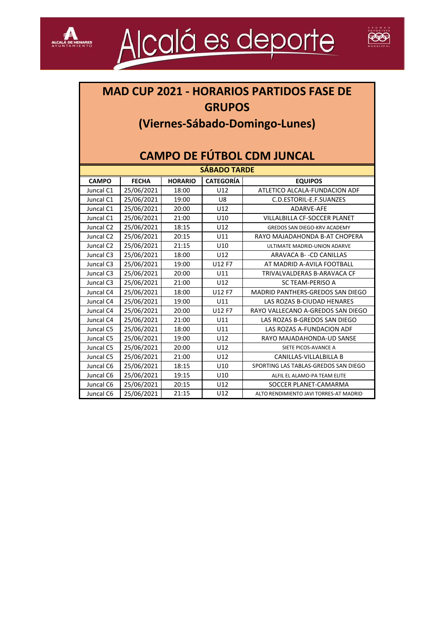



# **MAD CUP 2021 - HORARIOS PARTIDOS FASE DE GRUPOS (Viernes-Sábado-Domingo-Lunes) CAMPO DE FÚTBOL CDM JUNCAL**

| <b>SÁBADO TARDE</b>   |              |                |                  |                                         |
|-----------------------|--------------|----------------|------------------|-----------------------------------------|
| <b>CAMPO</b>          | <b>FECHA</b> | <b>HORARIO</b> | <b>CATEGORÍA</b> | <b>EQUIPOS</b>                          |
| Juncal C1             | 25/06/2021   | 18:00          | U12              | ATLETICO ALCALA-FUNDACION ADF           |
| Juncal C1             | 25/06/2021   | 19:00          | U8               | C.D.ESTORIL-E.F.SUANZES                 |
| Juncal C1             | 25/06/2021   | 20:00          | U12              | ADARVE-AFE                              |
| Juncal C1             | 25/06/2021   | 21:00          | U10              | <b>VILLALBILLA CF-SOCCER PLANET</b>     |
| Juncal C <sub>2</sub> | 25/06/2021   | 18:15          | U12              | <b>GREDOS SAN DIEGO-KRV ACADEMY</b>     |
| Juncal C <sub>2</sub> | 25/06/2021   | 20:15          | U11              | RAYO MAJADAHONDA B-AT CHOPERA           |
| Juncal C <sub>2</sub> | 25/06/2021   | 21:15          | U10              | ULTIMATE MADRID-UNION ADARVE            |
| Juncal C3             | 25/06/2021   | 18:00          | U12              | ARAVACA B- - CD CANILLAS                |
| Juncal C3             | 25/06/2021   | 19:00          | U12 F7           | AT MADRID A-AVILA FOOTBALL              |
| Juncal C3             | 25/06/2021   | 20:00          | U11              | TRIVALVALDERAS B-ARAVACA CF             |
| Juncal C3             | 25/06/2021   | 21:00          | U12              | SC TEAM-PERISO A                        |
| Juncal C4             | 25/06/2021   | 18:00          | U12 F7           | <b>MADRID PANTHERS-GREDOS SAN DIEGO</b> |
| Juncal C4             | 25/06/2021   | 19:00          | U11              | LAS ROZAS B-CIUDAD HENARES              |
| Juncal C4             | 25/06/2021   | 20:00          | U12 F7           | RAYO VALLECANO A-GREDOS SAN DIEGO       |
| Juncal C4             | 25/06/2021   | 21:00          | U11              | LAS ROZAS B-GREDOS SAN DIEGO            |
| Juncal C5             | 25/06/2021   | 18:00          | U11              | LAS ROZAS A-FUNDACION ADF               |
| Juncal C5             | 25/06/2021   | 19:00          | U12              | RAYO MAJADAHONDA-UD SANSE               |
| Juncal C5             | 25/06/2021   | 20:00          | U12              | SIETE PICOS-AVANCE A                    |
| Juncal C5             | 25/06/2021   | 21:00          | U12              | CANILLAS-VILLALBILLA B                  |
| Juncal C6             | 25/06/2021   | 18:15          | U10              | SPORTING LAS TABLAS-GREDOS SAN DIEGO    |
| Juncal C6             | 25/06/2021   | 19:15          | U10              | ALFIL EL ALAMO-PA TEAM ELITE            |
| Juncal C6             | 25/06/2021   | 20:15          | U12              | SOCCER PLANET-CAMARMA                   |
| Juncal C6             | 25/06/2021   | 21:15          | U12              | ALTO RENDIMIENTO JAVI TORRES-AT MADRID  |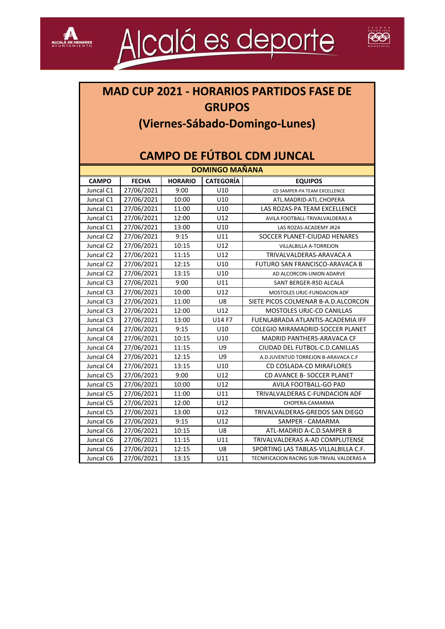



### **MAD CUP 2021 - HORARIOS PARTIDOS FASE DE GRUPOS (Viernes-Sábado-Domingo-Lunes)**

| <b>DOMINGO MAÑANA</b> |              |                |                  |                                            |
|-----------------------|--------------|----------------|------------------|--------------------------------------------|
| <b>CAMPO</b>          | <b>FECHA</b> | <b>HORARIO</b> | <b>CATEGORÍA</b> | <b>EQUIPOS</b>                             |
| Juncal C1             | 27/06/2021   | 9:00           | U10              | CD SAMPER-PA TEAM EXCELLENCE               |
| Juncal C1             | 27/06/2021   | 10:00          | U10              | ATL.MADRID-ATL.CHOPERA                     |
| Juncal C1             | 27/06/2021   | 11:00          | U10              | LAS ROZAS-PA TEAM EXCELLENCE               |
| Juncal C1             | 27/06/2021   | 12:00          | U12              | AVILA FOOTBALL-TRIVALVALDERAS A            |
| Juncal C1             | 27/06/2021   | 13:00          | U10              | LAS ROZAS-ACADEMY JR24                     |
| Juncal C <sub>2</sub> | 27/06/2021   | 9:15           | U11              | SOCCER PLANET-CIUDAD HENARES               |
| Juncal C <sub>2</sub> | 27/06/2021   | 10:15          | U12              | VILLALBILLA A-TORREJON                     |
| Juncal C <sub>2</sub> | 27/06/2021   | 11:15          | U12              | TRIVALVALDERAS-ARAVACA A                   |
| Juncal C <sub>2</sub> | 27/06/2021   | 12:15          | U10              | FUTURO SAN FRANCISCO-ARAVACA B             |
| Juncal C <sub>2</sub> | 27/06/2021   | 13:15          | U10              | AD ALCORCON-UNION ADARVE                   |
| Juncal C3             | 27/06/2021   | 9:00           | U11              | SANT BERGER-RSD ALCALÁ                     |
| Juncal C3             | 27/06/2021   | 10:00          | U12              | MOSTOLES URIC-FUNDACION ADF                |
| Juncal C3             | 27/06/2021   | 11:00          | U8               | SIETE PICOS COLMENAR B-A.D.ALCORCON        |
| Juncal C3             | 27/06/2021   | 12:00          | U12              | <b>MOSTOLES URIC-CD CANILLAS</b>           |
| Juncal C3             | 27/06/2021   | 13:00          | U14 F7           | FUENLABRADA ATLANTIS-ACADEMIA IFF          |
| Juncal C4             | 27/06/2021   | 9:15           | U10              | COLEGIO MIRAMADRID-SOCCER PLANET           |
| Juncal C4             | 27/06/2021   | 10:15          | U10              | MADRID PANTHERS-ARAVACA CF                 |
| Juncal C4             | 27/06/2021   | 11:15          | U9               | CIUDAD DEL FUTBOL-C.D.CANILLAS             |
| Juncal C4             | 27/06/2021   | 12:15          | U9               | A.D.JUVENTUD TORREJON B-ARAVACA C.F        |
| Juncal C4             | 27/06/2021   | 13:15          | U10              | CD COSLADA-CD MIRAFLORES                   |
| Juncal C5             | 27/06/2021   | 9:00           | U12              | CD AVANCE B- SOCCER PLANET                 |
| Juncal C5             | 27/06/2021   | 10:00          | U12              | AVILA FOOTBALL-GO PAD                      |
| Juncal C5             | 27/06/2021   | 11:00          | U11              | TRIVALVALDERAS C-FUNDACION ADF             |
| Juncal C5             | 27/06/2021   | 12:00          | U12              | CHOPERA-CAMARMA                            |
| Juncal C5             | 27/06/2021   | 13:00          | U12              | TRIVALVALDERAS-GREDOS SAN DIEGO            |
| Juncal C6             | 27/06/2021   | 9:15           | U12              | SAMPER - CAMARMA                           |
| Juncal C6             | 27/06/2021   | 10:15          | U8               | ATL-MADRID A-C.D.SAMPER B                  |
| Juncal C6             | 27/06/2021   | 11:15          | U11              | TRIVALVALDERAS A-AD COMPLUTENSE            |
| Juncal C6             | 27/06/2021   | 12:15          | U8               | SPORTING LAS TABLAS-VILLALBILLA C.F.       |
| Juncal C6             | 27/06/2021   | 13:15          | U11              | TECNIFICACION RACING SUR-TRIVAL VALDERAS A |